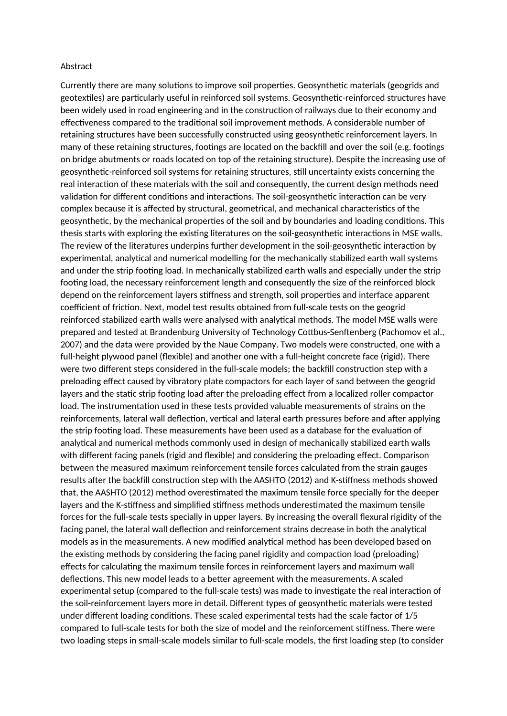## Abstract

Currently there are many solutions to improve soil properties. Geosynthetic materials (geogrids and geotextiles) are particularly useful in reinforced soil systems. Geosynthetic-reinforced structures have been widely used in road engineering and in the construction of railways due to their economy and effectiveness compared to the traditional soil improvement methods. A considerable number of retaining structures have been successfully constructed using geosynthetic reinforcement layers. In many of these retaining structures, footings are located on the backfill and over the soil (e.g. footings on bridge abutments or roads located on top of the retaining structure). Despite the increasing use of geosynthetic-reinforced soil systems for retaining structures, still uncertainty exists concerning the real interaction of these materials with the soil and consequently, the current design methods need validation for different conditions and interactions. The soil-geosynthetic interaction can be very complex because it is affected by structural, geometrical, and mechanical characteristics of the geosynthetic, by the mechanical properties of the soil and by boundaries and loading conditions. This thesis starts with exploring the existing literatures on the soil-geosynthetic interactions in MSE walls. The review of the literatures underpins further development in the soil-geosynthetic interaction by experimental, analytical and numerical modelling for the mechanically stabilized earth wall systems and under the strip footing load. In mechanically stabilized earth walls and especially under the strip footing load, the necessary reinforcement length and consequently the size of the reinforced block depend on the reinforcement layers stiffness and strength, soil properties and interface apparent coefficient of friction. Next, model test results obtained from full-scale tests on the geogrid reinforced stabilized earth walls were analysed with analytical methods. The model MSE walls were prepared and tested at Brandenburg University of Technology Cottbus-Senftenberg (Pachomov et al., 2007) and the data were provided by the Naue Company. Two models were constructed, one with a full-height plywood panel (flexible) and another one with a full-height concrete face (rigid). There were two different steps considered in the full-scale models; the backfill construction step with a preloading effect caused by vibratory plate compactors for each layer of sand between the geogrid layers and the static strip footing load after the preloading effect from a localized roller compactor load. The instrumentation used in these tests provided valuable measurements of strains on the reinforcements, lateral wall deflection, vertical and lateral earth pressures before and after applying the strip footing load. These measurements have been used as a database for the evaluation of analytical and numerical methods commonly used in design of mechanically stabilized earth walls with different facing panels (rigid and flexible) and considering the preloading effect. Comparison between the measured maximum reinforcement tensile forces calculated from the strain gauges results after the backfill construction step with the AASHTO (2012) and K-stiffness methods showed that, the AASHTO (2012) method overestimated the maximum tensile force specially for the deeper layers and the K-stiffness and simplified stiffness methods underestimated the maximum tensile forces for the full-scale tests specially in upper layers. By increasing the overall flexural rigidity of the facing panel, the lateral wall deflection and reinforcement strains decrease in both the analytical models as in the measurements. A new modified analytical method has been developed based on the existing methods by considering the facing panel rigidity and compaction load (preloading) effects for calculating the maximum tensile forces in reinforcement layers and maximum wall deflections. This new model leads to a better agreement with the measurements. A scaled experimental setup (compared to the full-scale tests) was made to investigate the real interaction of the soil-reinforcement layers more in detail. Different types of geosynthetic materials were tested under different loading conditions. These scaled experimental tests had the scale factor of 1/5 compared to full-scale tests for both the size of model and the reinforcement stiffness. There were two loading steps in small-scale models similar to full-scale models, the first loading step (to consider